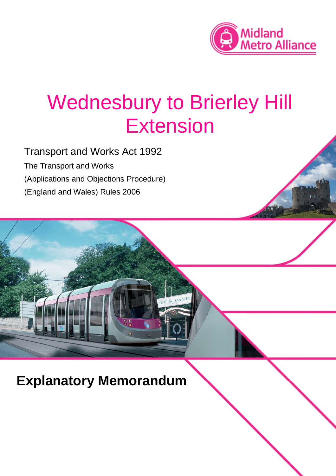

# Wednesbury to Brierley Hill Extension

Transport and Works Act 1992 The Transport and Works (Applications and Objections Procedure) (England and Wales) Rules 2006

**Explanatory Memorandum**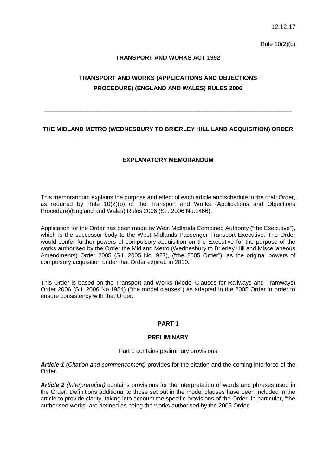12.12.17

Rule 10(2)(b)

## **TRANSPORT AND WORKS ACT 1992**

# **TRANSPORT AND WORKS (APPLICATIONS AND OBJECTIONS PROCEDURE) (ENGLAND AND WALES) RULES 2006**

# **THE MIDLAND METRO (WEDNESBURY TO BRIERLEY HILL LAND ACQUISITION) ORDER \_\_\_\_\_\_\_\_\_\_\_\_\_\_\_\_\_\_\_\_\_\_\_\_\_\_\_\_\_\_\_\_\_\_\_\_\_\_\_\_\_\_\_\_\_\_\_\_\_\_\_\_\_\_\_\_\_\_\_\_\_\_\_\_\_\_\_\_\_\_\_\_\_\_\_**

**\_\_\_\_\_\_\_\_\_\_\_\_\_\_\_\_\_\_\_\_\_\_\_\_\_\_\_\_\_\_\_\_\_\_\_\_\_\_\_\_\_\_\_\_\_\_\_\_\_\_\_\_\_\_\_\_\_\_\_\_\_\_\_\_\_\_\_\_\_\_\_\_\_\_\_**

## **EXPLANATORY MEMORANDUM**

This memorandum explains the purpose and effect of each article and schedule in the draft Order, as required by Rule 10(2)(b) of the Transport and Works (Applications and Objections Procedure)(England and Wales) Rules 2006 (S.I. 2006 No.1466).

Application for the Order has been made by West Midlands Combined Authority ("the Executive"), which is the successor body to the West Midlands Passenger Transport Executive. The Order would confer further powers of compulsory acquisition on the Executive for the purpose of the works authorised by the Order the Midland Metro (Wednesbury to Brierley Hill and Miscellaneous Amendments) Order 2005 (S.I. 2005 No. 927), ("the 2005 Order"), as the original powers of compulsory acquisition under that Order expired in 2010*.*

This Order is based on the Transport and Works (Model Clauses for Railways and Tramways) Order 2006 (S.I. 2006 No.1954) ("the model clauses") as adapted in the 2005 Order in order to ensure consistency with that Order.

#### **PART 1**

#### **PRELIMINARY**

#### Part 1 contains preliminary provisions

*Article 1 (Citation and commencement)* provides for the citation and the coming into force of the Order.

*Article 2 (Interpretation)* contains provisions for the interpretation of words and phrases used in the Order. Definitions additional to those set out in the model clauses have been included in the article to provide clarity, taking into account the specific provisions of the Order. In particular, "the authorised works" are defined as being the works authorised by the 2005 Order.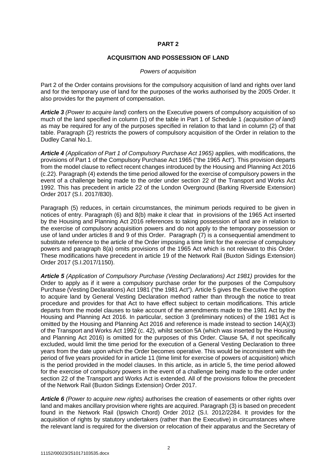#### **PART 2**

#### **ACQUISITION AND POSSESSION OF LAND**

#### *Powers of acquisition*

Part 2 of the Order contains provisions for the compulsory acquisition of land and rights over land and for the temporary use of land for the purposes of the works authorised by the 2005 Order. It also provides for the payment of compensation.

*Article 3 (Power to acquire land)* confers on the Executive powers of compulsory acquisition of so much of the land specified in column (1) of the table in Part 1 of Schedule 1 *(acquisition of land)* as may be required for any of the purposes specified in relation to that land in column (2) of that table. Paragraph (2) restricts the powers of compulsory acquisition of the Order in relation to the Dudley Canal No.1.

*Article 4 (Application of Part 1 of Compulsory Purchase Act 1965)* applies, with modifications, the provisions of Part 1 of the Compulsory Purchase Act 1965 ("the 1965 Act"). This provision departs from the model clause to reflect recent changes introduced by the Housing and Planning Act 2016 (c.22). Paragraph (4) extends the time period allowed for the exercise of compulsory powers in the event of a challenge being made to the order under section 22 of the Transport and Works Act 1992. This has precedent in article 22 of the London Overground (Barking Riverside Extension) Order 2017 (S.I. 2017/830).

Paragraph (5) reduces, in certain circumstances, the minimum periods required to be given in notices of entry. Paragraph (6) and 8(b) make it clear that in provisions of the 1965 Act inserted by the Housing and Planning Act 2016 references to taking possession of land are in relation to the exercise of compulsory acquisition powers and do not apply to the temporary possession or use of land under articles 8 and 9 of this Order. Paragraph (7) is a consequential amendment to substitute reference to the article of the Order imposing a time limit for the exercise of compulsory powers and paragraph 8(a) omits provisions of the 1965 Act which is not relevant to this Order. These modifications have precedent in article 19 of the Network Rail (Buxton Sidings Extension) Order 2017 (S.I.2017/1150).

*Article 5 (Application of Compulsory Purchase (Vesting Declarations) Act 1981)* provides for the Order to apply as if it were a compulsory purchase order for the purposes of the Compulsory Purchase (Vesting Declarations) Act 1981 ("the 1981 Act"). Article 5 gives the Executive the option to acquire land by General Vesting Declaration method rather than through the notice to treat procedure and provides for that Act to have effect subject to certain modifications. This article departs from the model clauses to take account of the amendments made to the 1981 Act by the Housing and Planning Act 2016. In particular, section 3 (preliminary notices) of the 1981 Act is omitted by the Housing and Planning Act 2016 and reference is made instead to section 14(A)(3) of the Transport and Works Act 1992 (c. 42), whilst section 5A (which was inserted by the Housing and Planning Act 2016) is omitted for the purposes of this Order. Clause 5A, if not specifically excluded, would limit the time period for the execution of a General Vesting Declaration to three years from the date upon which the Order becomes operative. This would be inconsistent with the period of five years provided for in article 11 (time limit for exercise of powers of acquisition) which is the period provided in the model clauses. In this article, as in article 5, the time period allowed for the exercise of compulsory powers in the event of a challenge being made to the order under section 22 of the Transport and Works Act is extended. All of the provisions follow the precedent of the Network Rail (Buxton Sidings Extension) Order 2017.

*Article 6 (Power to acquire new rights)* authorises the creation of easements or other rights over land and makes ancillary provision where rights are acquired. Paragraph (3) is based on precedent found in the Network Rail (Ipswich Chord) Order 2012 (S.I. 2012/2284. It provides for the acquisition of rights by statutory undertakers (rather than the Executive) in circumstances where the relevant land is required for the diversion or relocation of their apparatus and the Secretary of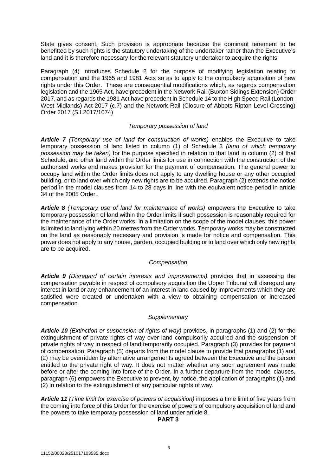State gives consent. Such provision is appropriate because the dominant tenement to be benefitted by such rights is the statutory undertaking of the undertaker rather than the Executive's land and it is therefore necessary for the relevant statutory undertaker to acquire the rights.

Paragraph (4) introduces Schedule 2 for the purpose of modifying legislation relating to compensation and the 1965 and 1981 Acts so as to apply to the compulsory acquisition of new rights under this Order. These are consequential modifications which, as regards compensation legislation and the 1965 Act, have precedent in the Network Rail (Buxton Sidings Extension) Order 2017, and as regards the 1981 Act have precedent in Schedule 14 to the High Speed Rail (London-West Midlands) Act 2017 (c.7) and the Network Rail (Closure of Abbots Ripton Level Crossing) Order 2017 (S.I.2017/1074)

## *Temporary possession of land*

*Article 7 (Temporary use of land for construction of works)* enables the Executive to take temporary possession of land listed in column (1) of Schedule 3 *(land of which temporary possession may be taken)* for the purpose specified in relation to that land in column (2) of that Schedule, and other land within the Order limits for use in connection with the construction of the authorised works and makes provision for the payment of compensation. The general power to occupy land within the Order limits does not apply to any dwelling house or any other occupied building, or to land over which only new rights are to be acquired. Paragraph (2) extends the notice period in the model clauses from 14 to 28 days in line with the equivalent notice period in article 34 of the 2005 Order..

*Article 8 (Temporary use of land for maintenance of works)* empowers the Executive to take temporary possession of land within the Order limits if such possession is reasonably required for the maintenance of the Order works. In a limitation on the scope of the model clauses, this power is limited to land lying within 20 metres from the Order works. Temporary works may be constructed on the land as reasonably necessary and provision is made for notice and compensation. This power does not apply to any house, garden, occupied building or to land over which only new rights are to be acquired.

#### *Compensation*

*Article 9 (Disregard of certain interests and improvements)* provides that in assessing the compensation payable in respect of compulsory acquisition the Upper Tribunal will disregard any interest in land or any enhancement of an interest in land caused by improvements which they are satisfied were created or undertaken with a view to obtaining compensation or increased compensation.

#### *Supplementary*

*Article 10 (Extinction or suspension of rights of way)* provides, in paragraphs (1) and (2) for the extinguishment of private rights of way over land compulsorily acquired and the suspension of private rights of way in respect of land temporarily occupied. Paragraph (3) provides for payment of compensation. Paragraph (5) departs from the model clause to provide that paragraphs (1) and (2) may be overridden by alternative arrangements agreed between the Executive and the person entitled to the private right of way. It does not matter whether any such agreement was made before or after the coming into force of the Order. In a further departure from the model clauses, paragraph (6) empowers the Executive to prevent, by notice, the application of paragraphs (1) and (2) in relation to the extinguishment of any particular rights of way.

*Article 11 (Time limit for exercise of powers of acquisition)* imposes a time limit of five years from the coming into force of this Order for the exercise of powers of compulsory acquisition of land and the powers to take temporary possession of land under article 8.

## **PART 3**